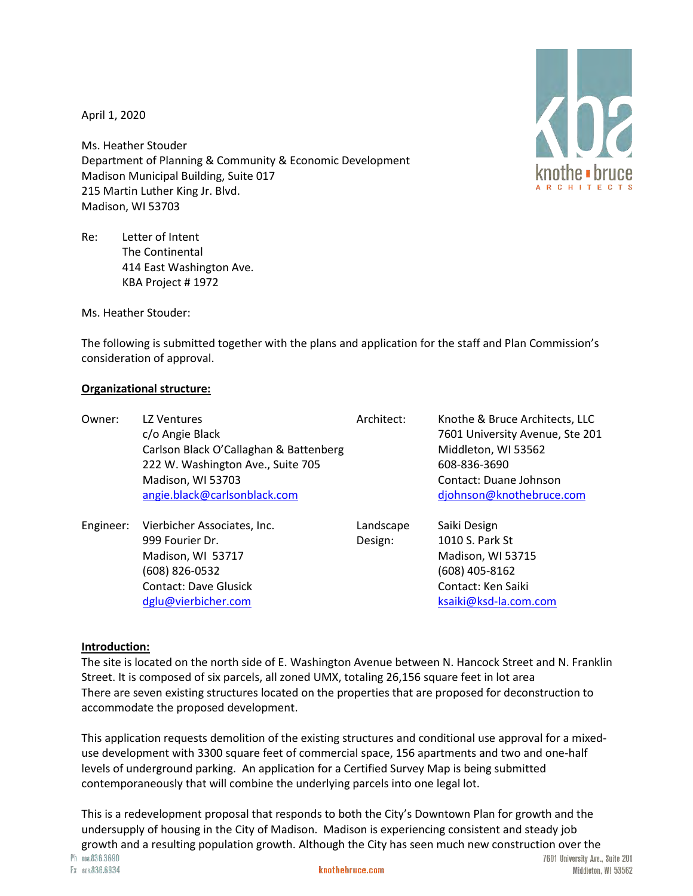April 1, 2020

Ms. Heather Stouder Department of Planning & Community & Economic Development Madison Municipal Building, Suite 017 215 Martin Luther King Jr. Blvd. Madison, WI 53703

Re: Letter of Intent The Continental 414 East Washington Ave. KBA Project # 1972

Ms. Heather Stouder:

The following is submitted together with the plans and application for the staff and Plan Commission's consideration of approval.

### **Organizational structure:**

| Owner:    | LZ Ventures<br>c/o Angie Black<br>Carlson Black O'Callaghan & Battenberg<br>222 W. Washington Ave., Suite 705<br>Madison, WI 53703<br>angie.black@carlsonblack.com | Architect:           | Knothe & Bruce Architects, LLC<br>7601 University Avenue, Ste 201<br>Middleton, WI 53562<br>608-836-3690<br>Contact: Duane Johnson<br>djohnson@knothebruce.com |
|-----------|--------------------------------------------------------------------------------------------------------------------------------------------------------------------|----------------------|----------------------------------------------------------------------------------------------------------------------------------------------------------------|
| Engineer: | Vierbicher Associates, Inc.<br>999 Fourier Dr.                                                                                                                     | Landscape<br>Design: | Saiki Design<br>1010 S. Park St                                                                                                                                |
|           | Madison, WI 53717                                                                                                                                                  |                      | Madison, WI 53715                                                                                                                                              |
|           | (608) 826-0532                                                                                                                                                     |                      | (608) 405-8162                                                                                                                                                 |
|           | <b>Contact: Dave Glusick</b>                                                                                                                                       |                      | Contact: Ken Saiki                                                                                                                                             |
|           | dglu@vierbicher.com                                                                                                                                                |                      | ksaiki@ksd-la.com.com                                                                                                                                          |

### **Introduction:**

The site is located on the north side of E. Washington Avenue between N. Hancock Street and N. Franklin Street. It is composed of six parcels, all zoned UMX, totaling 26,156 square feet in lot area There are seven existing structures located on the properties that are proposed for deconstruction to accommodate the proposed development.

This application requests demolition of the existing structures and conditional use approval for a mixeduse development with 3300 square feet of commercial space, 156 apartments and two and one-half levels of underground parking. An application for a Certified Survey Map is being submitted contemporaneously that will combine the underlying parcels into one legal lot.

This is a redevelopment proposal that responds to both the City's Downtown Plan for growth and the undersupply of housing in the City of Madison. Madison is experiencing consistent and steady job growth and a resulting population growth. Although the City has seen much new construction over the<br>TBD1 University Ave. 7601 University Ave., Suite 201 Fx 608.836.6934 knothebruce.com Middleton, WI 53562

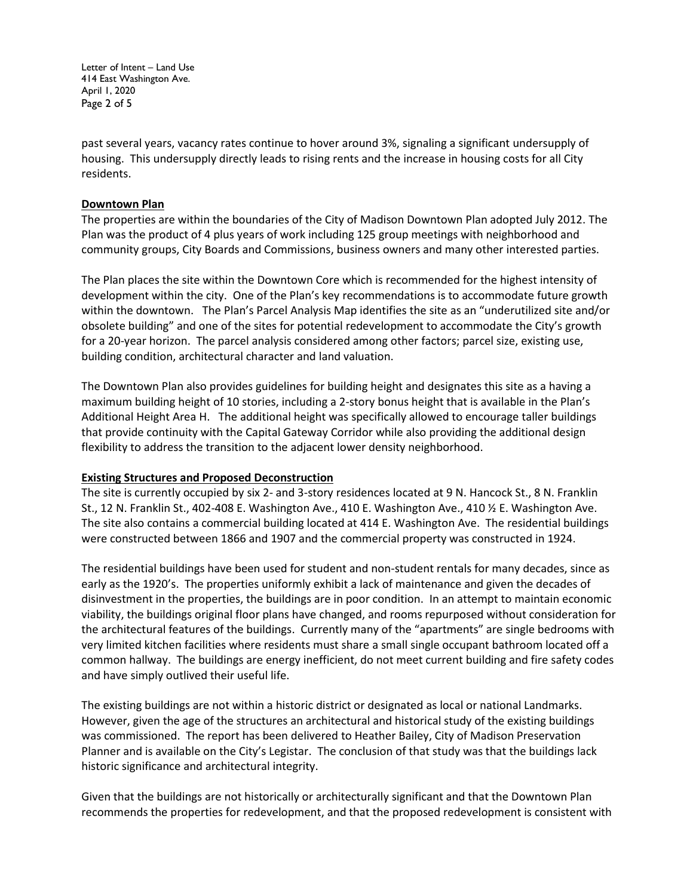Letter of Intent – Land Use 414 East Washington Ave. April 1, 2020 Page 2 of 5

past several years, vacancy rates continue to hover around 3%, signaling a significant undersupply of housing. This undersupply directly leads to rising rents and the increase in housing costs for all City residents.

#### **Downtown Plan**

The properties are within the boundaries of the City of Madison Downtown Plan adopted July 2012. The Plan was the product of 4 plus years of work including 125 group meetings with neighborhood and community groups, City Boards and Commissions, business owners and many other interested parties.

The Plan places the site within the Downtown Core which is recommended for the highest intensity of development within the city. One of the Plan's key recommendations is to accommodate future growth within the downtown. The Plan's Parcel Analysis Map identifies the site as an "underutilized site and/or obsolete building" and one of the sites for potential redevelopment to accommodate the City's growth for a 20-year horizon. The parcel analysis considered among other factors; parcel size, existing use, building condition, architectural character and land valuation.

The Downtown Plan also provides guidelines for building height and designates this site as a having a maximum building height of 10 stories, including a 2-story bonus height that is available in the Plan's Additional Height Area H. The additional height was specifically allowed to encourage taller buildings that provide continuity with the Capital Gateway Corridor while also providing the additional design flexibility to address the transition to the adjacent lower density neighborhood.

#### **Existing Structures and Proposed Deconstruction**

The site is currently occupied by six 2- and 3-story residences located at 9 N. Hancock St., 8 N. Franklin St., 12 N. Franklin St., 402-408 E. Washington Ave., 410 E. Washington Ave., 410 ½ E. Washington Ave. The site also contains a commercial building located at 414 E. Washington Ave. The residential buildings were constructed between 1866 and 1907 and the commercial property was constructed in 1924.

The residential buildings have been used for student and non-student rentals for many decades, since as early as the 1920's. The properties uniformly exhibit a lack of maintenance and given the decades of disinvestment in the properties, the buildings are in poor condition. In an attempt to maintain economic viability, the buildings original floor plans have changed, and rooms repurposed without consideration for the architectural features of the buildings. Currently many of the "apartments" are single bedrooms with very limited kitchen facilities where residents must share a small single occupant bathroom located off a common hallway. The buildings are energy inefficient, do not meet current building and fire safety codes and have simply outlived their useful life.

The existing buildings are not within a historic district or designated as local or national Landmarks. However, given the age of the structures an architectural and historical study of the existing buildings was commissioned. The report has been delivered to Heather Bailey, City of Madison Preservation Planner and is available on the City's Legistar. The conclusion of that study was that the buildings lack historic significance and architectural integrity.

Given that the buildings are not historically or architecturally significant and that the Downtown Plan recommends the properties for redevelopment, and that the proposed redevelopment is consistent with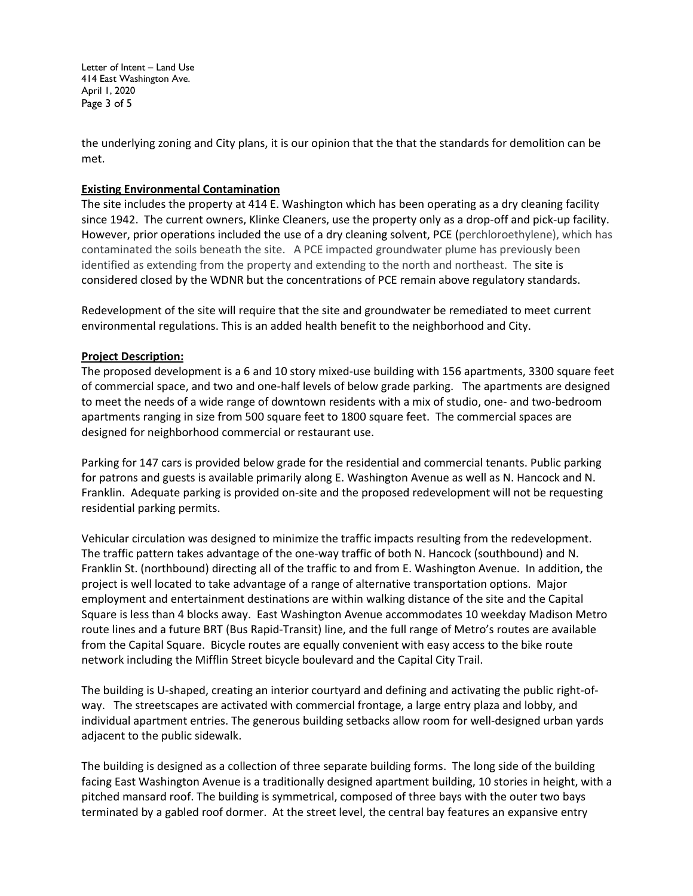Letter of Intent – Land Use 414 East Washington Ave. April 1, 2020 Page 3 of 5

the underlying zoning and City plans, it is our opinion that the that the standards for demolition can be met.

### **Existing Environmental Contamination**

The site includes the property at 414 E. Washington which has been operating as a dry cleaning facility since 1942. The current owners, Klinke Cleaners, use the property only as a drop-off and pick-up facility. However, prior operations included the use of a dry cleaning solvent, PCE (perchloroethylene), which has contaminated the soils beneath the site. A PCE impacted groundwater plume has previously been identified as extending from the property and extending to the north and northeast. The site is considered closed by the WDNR but the concentrations of PCE remain above regulatory standards.

Redevelopment of the site will require that the site and groundwater be remediated to meet current environmental regulations. This is an added health benefit to the neighborhood and City.

### **Project Description:**

The proposed development is a 6 and 10 story mixed-use building with 156 apartments, 3300 square feet of commercial space, and two and one-half levels of below grade parking. The apartments are designed to meet the needs of a wide range of downtown residents with a mix of studio, one- and two-bedroom apartments ranging in size from 500 square feet to 1800 square feet. The commercial spaces are designed for neighborhood commercial or restaurant use.

Parking for 147 cars is provided below grade for the residential and commercial tenants. Public parking for patrons and guests is available primarily along E. Washington Avenue as well as N. Hancock and N. Franklin. Adequate parking is provided on-site and the proposed redevelopment will not be requesting residential parking permits.

Vehicular circulation was designed to minimize the traffic impacts resulting from the redevelopment. The traffic pattern takes advantage of the one-way traffic of both N. Hancock (southbound) and N. Franklin St. (northbound) directing all of the traffic to and from E. Washington Avenue. In addition, the project is well located to take advantage of a range of alternative transportation options. Major employment and entertainment destinations are within walking distance of the site and the Capital Square is less than 4 blocks away. East Washington Avenue accommodates 10 weekday Madison Metro route lines and a future BRT (Bus Rapid-Transit) line, and the full range of Metro's routes are available from the Capital Square. Bicycle routes are equally convenient with easy access to the bike route network including the Mifflin Street bicycle boulevard and the Capital City Trail.

The building is U-shaped, creating an interior courtyard and defining and activating the public right-ofway. The streetscapes are activated with commercial frontage, a large entry plaza and lobby, and individual apartment entries. The generous building setbacks allow room for well-designed urban yards adjacent to the public sidewalk.

The building is designed as a collection of three separate building forms. The long side of the building facing East Washington Avenue is a traditionally designed apartment building, 10 stories in height, with a pitched mansard roof. The building is symmetrical, composed of three bays with the outer two bays terminated by a gabled roof dormer. At the street level, the central bay features an expansive entry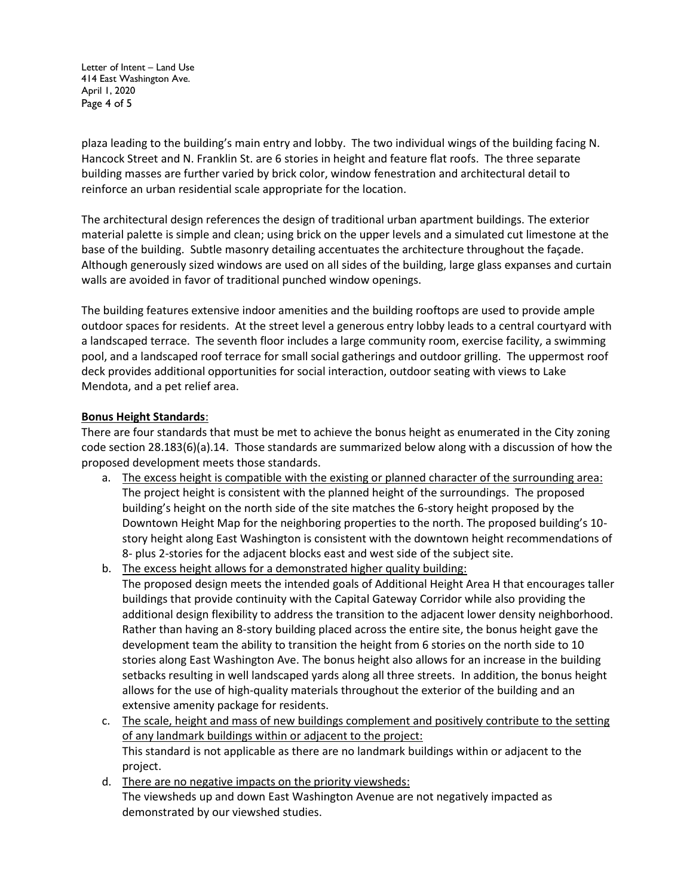Letter of Intent – Land Use 414 East Washington Ave. April 1, 2020 Page 4 of 5

plaza leading to the building's main entry and lobby. The two individual wings of the building facing N. Hancock Street and N. Franklin St. are 6 stories in height and feature flat roofs. The three separate building masses are further varied by brick color, window fenestration and architectural detail to reinforce an urban residential scale appropriate for the location.

The architectural design references the design of traditional urban apartment buildings. The exterior material palette is simple and clean; using brick on the upper levels and a simulated cut limestone at the base of the building. Subtle masonry detailing accentuates the architecture throughout the façade. Although generously sized windows are used on all sides of the building, large glass expanses and curtain walls are avoided in favor of traditional punched window openings.

The building features extensive indoor amenities and the building rooftops are used to provide ample outdoor spaces for residents. At the street level a generous entry lobby leads to a central courtyard with a landscaped terrace. The seventh floor includes a large community room, exercise facility, a swimming pool, and a landscaped roof terrace for small social gatherings and outdoor grilling. The uppermost roof deck provides additional opportunities for social interaction, outdoor seating with views to Lake Mendota, and a pet relief area.

## **Bonus Height Standards**:

There are four standards that must be met to achieve the bonus height as enumerated in the City zoning code section 28.183(6)(a).14. Those standards are summarized below along with a discussion of how the proposed development meets those standards.

- a. The excess height is compatible with the existing or planned character of the surrounding area: The project height is consistent with the planned height of the surroundings. The proposed building's height on the north side of the site matches the 6-story height proposed by the Downtown Height Map for the neighboring properties to the north. The proposed building's 10 story height along East Washington is consistent with the downtown height recommendations of 8- plus 2-stories for the adjacent blocks east and west side of the subject site.
- b. The excess height allows for a demonstrated higher quality building:

The proposed design meets the intended goals of Additional Height Area H that encourages taller buildings that provide continuity with the Capital Gateway Corridor while also providing the additional design flexibility to address the transition to the adjacent lower density neighborhood. Rather than having an 8-story building placed across the entire site, the bonus height gave the development team the ability to transition the height from 6 stories on the north side to 10 stories along East Washington Ave. The bonus height also allows for an increase in the building setbacks resulting in well landscaped yards along all three streets. In addition, the bonus height allows for the use of high-quality materials throughout the exterior of the building and an extensive amenity package for residents.

- c. The scale, height and mass of new buildings complement and positively contribute to the setting of any landmark buildings within or adjacent to the project: This standard is not applicable as there are no landmark buildings within or adjacent to the project.
- d. There are no negative impacts on the priority viewsheds: The viewsheds up and down East Washington Avenue are not negatively impacted as demonstrated by our viewshed studies.